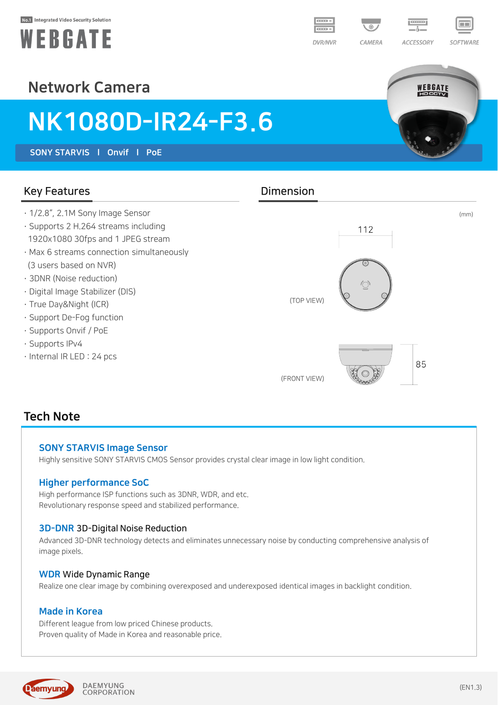#### No.1 Integrated Video Security Solution





WEBGATE

# Network Camera

# NK1080D-IR24-F3.6

SONY STARVIS l Onvif l PoE

## Key Features **Dimension**

- · 1/2.8", 2.1M Sony Image Sensor
- · Supports 2 H.264 streams including 1920x1080 30fps and 1 JPEG stream
- · Max 6 streams connection simultaneously (3 users based on NVR)
- · 3DNR (Noise reduction)
- · Digital Image Stabilizer (DIS)
- · True Day&Night (ICR)
- · Support De-Fog function
- · Supports Onvif / PoE
- · Supports IPv4
- · Internal IR LED : 24 pcs



# Tech Note

### SONY STARVIS Image Sensor

Highly sensitive SONY STARVIS CMOS Sensor provides crystal clear image in low light condition.

### Higher performance SoC

High performance ISP functions such as 3DNR, WDR, and etc. Revolutionary response speed and stabilized performance.

#### 3D-DNR 3D-Digital Noise Reduction

Advanced 3D-DNR technology detects and eliminates unnecessary noise by conducting comprehensive analysis of image pixels.

#### WDR Wide Dynamic Range

Realize one clear image by combining overexposed and underexposed identical images in backlight condition.

### Made in Korea

Different league from low priced Chinese products. Proven quality of Made in Korea and reasonable price.